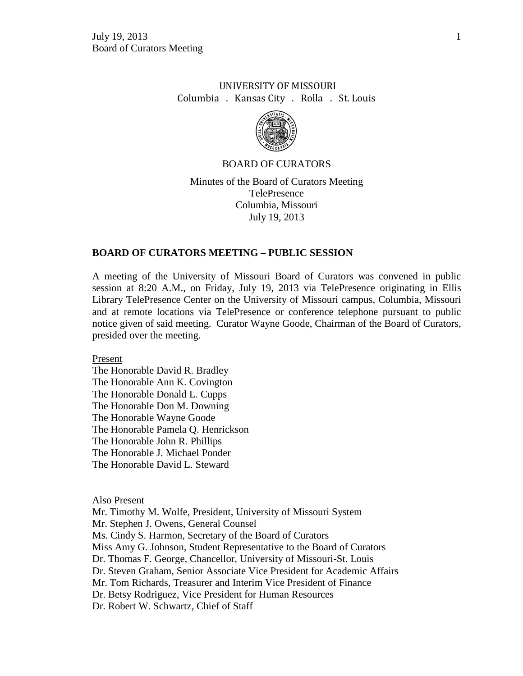# UNIVERSITY OF MISSOURI Columbia . Kansas City . Rolla . St. Louis



#### BOARD OF CURATORS

Minutes of the Board of Curators Meeting TelePresence Columbia, Missouri July 19, 2013

#### **BOARD OF CURATORS MEETING – PUBLIC SESSION**

A meeting of the University of Missouri Board of Curators was convened in public session at 8:20 A.M., on Friday, July 19, 2013 via TelePresence originating in Ellis Library TelePresence Center on the University of Missouri campus, Columbia, Missouri and at remote locations via TelePresence or conference telephone pursuant to public notice given of said meeting. Curator Wayne Goode, Chairman of the Board of Curators, presided over the meeting.

Present

The Honorable David R. Bradley The Honorable Ann K. Covington The Honorable Donald L. Cupps The Honorable Don M. Downing The Honorable Wayne Goode The Honorable Pamela Q. Henrickson The Honorable John R. Phillips The Honorable J. Michael Ponder The Honorable David L. Steward

Also Present

Mr. Timothy M. Wolfe, President, University of Missouri System Mr. Stephen J. Owens, General Counsel Ms. Cindy S. Harmon, Secretary of the Board of Curators Miss Amy G. Johnson, Student Representative to the Board of Curators Dr. Thomas F. George, Chancellor, University of Missouri-St. Louis Dr. Steven Graham, Senior Associate Vice President for Academic Affairs Mr. Tom Richards, Treasurer and Interim Vice President of Finance Dr. Betsy Rodriguez, Vice President for Human Resources Dr. Robert W. Schwartz, Chief of Staff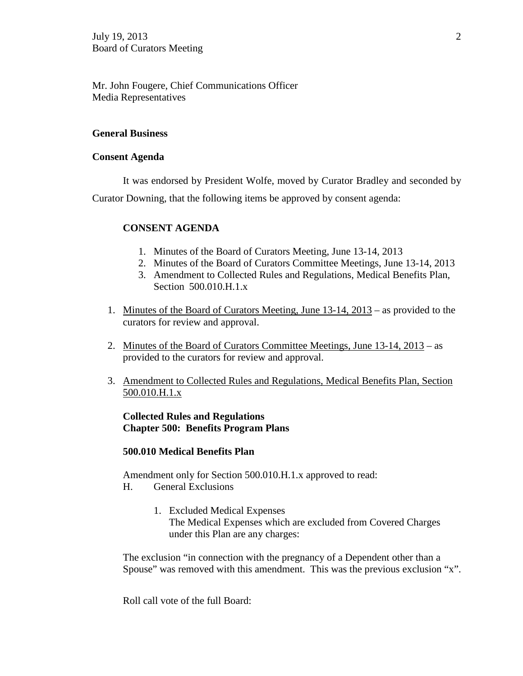Mr. John Fougere, Chief Communications Officer Media Representatives

## **General Business**

## **Consent Agenda**

It was endorsed by President Wolfe, moved by Curator Bradley and seconded by Curator Downing, that the following items be approved by consent agenda:

## **CONSENT AGENDA**

- 1. Minutes of the Board of Curators Meeting, June 13-14, 2013
- 2. Minutes of the Board of Curators Committee Meetings, June 13-14, 2013
- 3. Amendment to Collected Rules and Regulations, Medical Benefits Plan, Section 500.010.H.1.x
- 1. Minutes of the Board of Curators Meeting, June 13-14, 2013 as provided to the curators for review and approval.
- 2. Minutes of the Board of Curators Committee Meetings, June 13-14, 2013 as provided to the curators for review and approval.
- 3. Amendment to Collected Rules and Regulations, Medical Benefits Plan, Section 500.010.H.1.x

## **Collected Rules and Regulations Chapter 500: Benefits Program Plans**

## **500.010 Medical Benefits Plan**

Amendment only for Section 500.010.H.1.x approved to read: H. General Exclusions

> 1. Excluded Medical Expenses The Medical Expenses which are excluded from Covered Charges under this Plan are any charges:

The exclusion "in connection with the pregnancy of a Dependent other than a Spouse" was removed with this amendment. This was the previous exclusion "x".

Roll call vote of the full Board: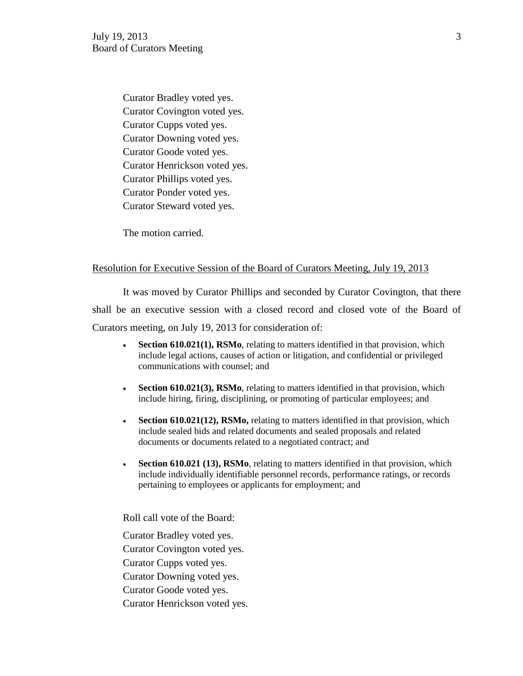Curator Bradley voted yes. Curator Covington voted yes. Curator Cupps voted yes. Curator Downing voted yes. Curator Goode voted yes. Curator Henrickson voted yes. Curator Phillips voted yes. Curator Ponder voted yes. Curator Steward voted yes.

The motion carried.

#### Resolution for Executive Session of the Board of Curators Meeting, July 19, 2013

It was moved by Curator Phillips and seconded by Curator Covington, that there shall be an executive session with a closed record and closed vote of the Board of Curators meeting, on July 19, 2013 for consideration of:

- **Section 610.021(1), RSMo**, relating to matters identified in that provision, which include legal actions, causes of action or litigation, and confidential or privileged communications with counsel; and
- **Section 610.021(3), RSMo**, relating to matters identified in that provision, which include hiring, firing, disciplining, or promoting of particular employees; and
- **Section 610.021(12), RSMo,** relating to matters identified in that provision, which include sealed bids and related documents and sealed proposals and related documents or documents related to a negotiated contract; and
- **Section 610.021 (13), RSMo**, relating to matters identified in that provision, which include individually identifiable personnel records, performance ratings, or records pertaining to employees or applicants for employment; and

Roll call vote of the Board:

Curator Bradley voted yes. Curator Covington voted yes. Curator Cupps voted yes. Curator Downing voted yes. Curator Goode voted yes.

Curator Henrickson voted yes.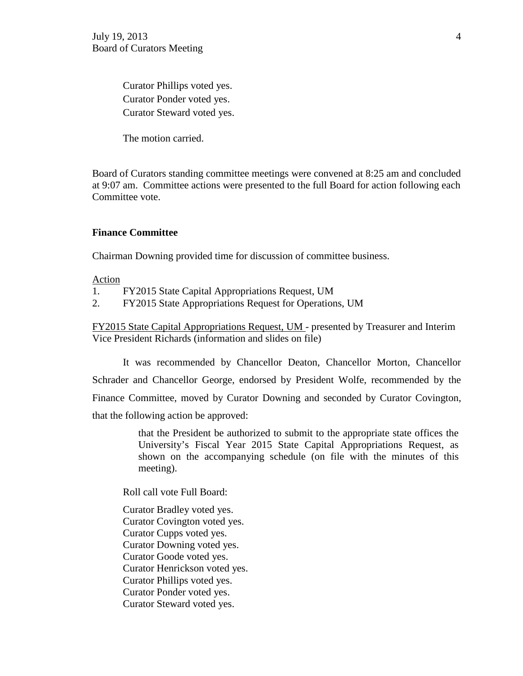Curator Phillips voted yes. Curator Ponder voted yes. Curator Steward voted yes.

The motion carried.

Board of Curators standing committee meetings were convened at 8:25 am and concluded at 9:07 am. Committee actions were presented to the full Board for action following each Committee vote.

#### **Finance Committee**

Chairman Downing provided time for discussion of committee business.

Action

- 1. FY2015 State Capital Appropriations Request, UM
- 2. FY2015 State Appropriations Request for Operations, UM

FY2015 State Capital Appropriations Request, UM - presented by Treasurer and Interim Vice President Richards (information and slides on file)

It was recommended by Chancellor Deaton, Chancellor Morton, Chancellor Schrader and Chancellor George, endorsed by President Wolfe, recommended by the Finance Committee, moved by Curator Downing and seconded by Curator Covington, that the following action be approved:

> that the President be authorized to submit to the appropriate state offices the University's Fiscal Year 2015 State Capital Appropriations Request, as shown on the accompanying schedule (on file with the minutes of this meeting).

Roll call vote Full Board:

Curator Bradley voted yes. Curator Covington voted yes. Curator Cupps voted yes. Curator Downing voted yes. Curator Goode voted yes. Curator Henrickson voted yes. Curator Phillips voted yes. Curator Ponder voted yes. Curator Steward voted yes.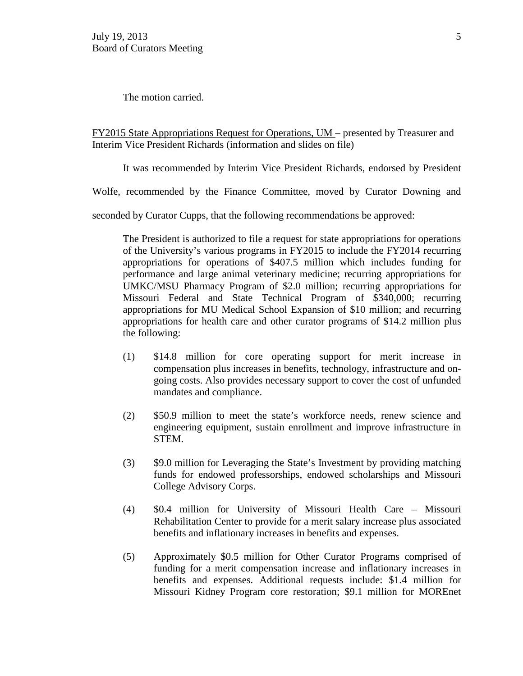The motion carried.

FY2015 State Appropriations Request for Operations, UM – presented by Treasurer and Interim Vice President Richards (information and slides on file)

It was recommended by Interim Vice President Richards, endorsed by President

Wolfe, recommended by the Finance Committee, moved by Curator Downing and

seconded by Curator Cupps, that the following recommendations be approved:

The President is authorized to file a request for state appropriations for operations of the University's various programs in FY2015 to include the FY2014 recurring appropriations for operations of \$407.5 million which includes funding for performance and large animal veterinary medicine; recurring appropriations for UMKC/MSU Pharmacy Program of \$2.0 million; recurring appropriations for Missouri Federal and State Technical Program of \$340,000; recurring appropriations for MU Medical School Expansion of \$10 million; and recurring appropriations for health care and other curator programs of \$14.2 million plus the following:

- (1) \$14.8 million for core operating support for merit increase in compensation plus increases in benefits, technology, infrastructure and ongoing costs. Also provides necessary support to cover the cost of unfunded mandates and compliance.
- (2) \$50.9 million to meet the state's workforce needs, renew science and engineering equipment, sustain enrollment and improve infrastructure in STEM.
- (3) \$9.0 million for Leveraging the State's Investment by providing matching funds for endowed professorships, endowed scholarships and Missouri College Advisory Corps.
- (4) \$0.4 million for University of Missouri Health Care Missouri Rehabilitation Center to provide for a merit salary increase plus associated benefits and inflationary increases in benefits and expenses.
- (5) Approximately \$0.5 million for Other Curator Programs comprised of funding for a merit compensation increase and inflationary increases in benefits and expenses. Additional requests include: \$1.4 million for Missouri Kidney Program core restoration; \$9.1 million for MOREnet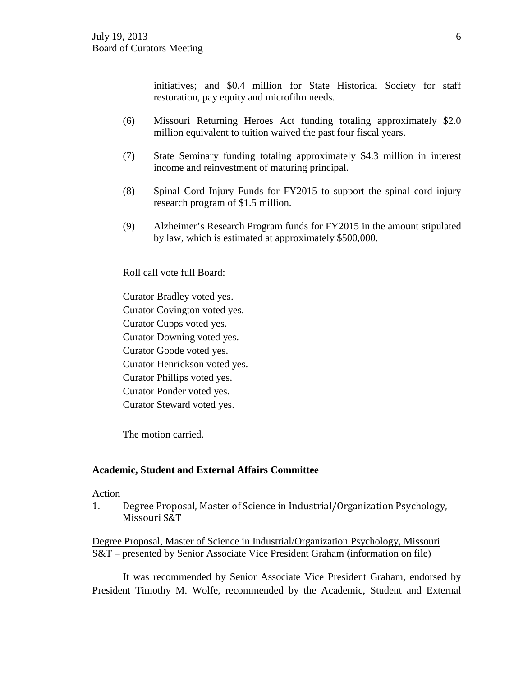initiatives; and \$0.4 million for State Historical Society for staff restoration, pay equity and microfilm needs.

- (6) Missouri Returning Heroes Act funding totaling approximately \$2.0 million equivalent to tuition waived the past four fiscal years.
- (7) State Seminary funding totaling approximately \$4.3 million in interest income and reinvestment of maturing principal.
- (8) Spinal Cord Injury Funds for FY2015 to support the spinal cord injury research program of \$1.5 million.
- (9) Alzheimer's Research Program funds for FY2015 in the amount stipulated by law, which is estimated at approximately \$500,000.

Roll call vote full Board:

Curator Bradley voted yes.

Curator Covington voted yes.

Curator Cupps voted yes.

Curator Downing voted yes.

Curator Goode voted yes.

Curator Henrickson voted yes.

Curator Phillips voted yes.

Curator Ponder voted yes.

Curator Steward voted yes.

The motion carried.

## **Academic, Student and External Affairs Committee**

#### Action

1. Degree Proposal, Master of Science in Industrial/Organization Psychology, Missouri S&T

## Degree Proposal, Master of Science in Industrial/Organization Psychology, Missouri S&T – presented by Senior Associate Vice President Graham (information on file)

It was recommended by Senior Associate Vice President Graham, endorsed by President Timothy M. Wolfe, recommended by the Academic, Student and External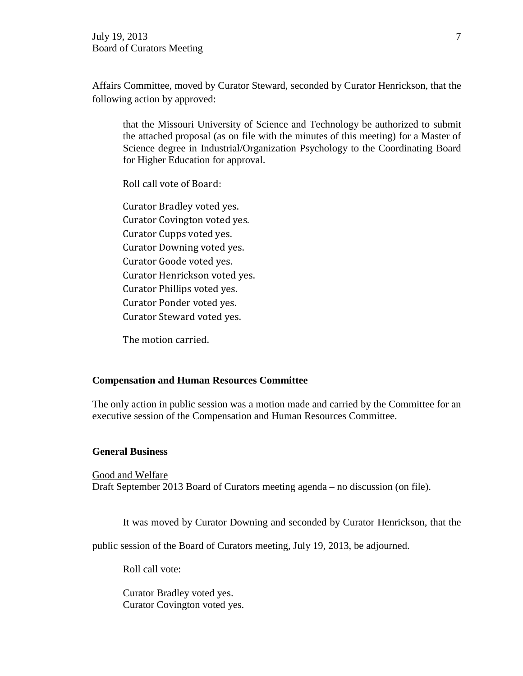Affairs Committee, moved by Curator Steward, seconded by Curator Henrickson, that the following action by approved:

that the Missouri University of Science and Technology be authorized to submit the attached proposal (as on file with the minutes of this meeting) for a Master of Science degree in Industrial/Organization Psychology to the Coordinating Board for Higher Education for approval.

Roll call vote of Board:

Curator Bradley voted yes. Curator Covington voted yes. Curator Cupps voted yes. Curator Downing voted yes. Curator Goode voted yes. Curator Henrickson voted yes. Curator Phillips voted yes. Curator Ponder voted yes. Curator Steward voted yes.

The motion carried.

## **Compensation and Human Resources Committee**

The only action in public session was a motion made and carried by the Committee for an executive session of the Compensation and Human Resources Committee.

#### **General Business**

Good and Welfare Draft September 2013 Board of Curators meeting agenda – no discussion (on file).

It was moved by Curator Downing and seconded by Curator Henrickson, that the

public session of the Board of Curators meeting, July 19, 2013, be adjourned.

Roll call vote:

Curator Bradley voted yes. Curator Covington voted yes.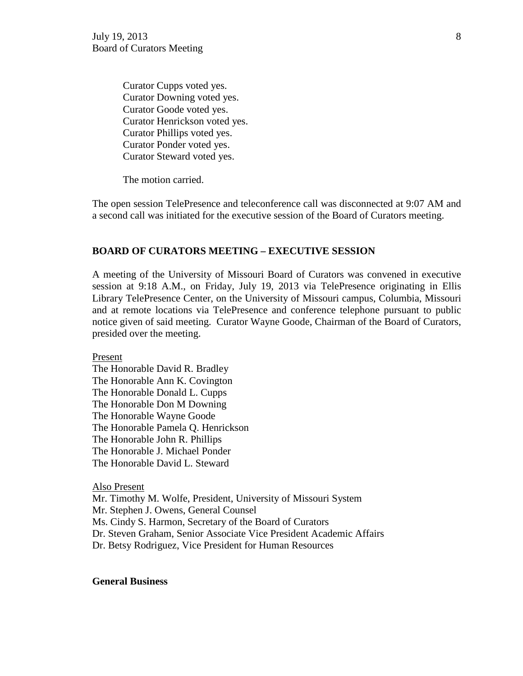Curator Cupps voted yes. Curator Downing voted yes. Curator Goode voted yes. Curator Henrickson voted yes. Curator Phillips voted yes. Curator Ponder voted yes. Curator Steward voted yes.

The motion carried.

The open session TelePresence and teleconference call was disconnected at 9:07 AM and a second call was initiated for the executive session of the Board of Curators meeting.

#### **BOARD OF CURATORS MEETING – EXECUTIVE SESSION**

A meeting of the University of Missouri Board of Curators was convened in executive session at 9:18 A.M., on Friday, July 19, 2013 via TelePresence originating in Ellis Library TelePresence Center, on the University of Missouri campus, Columbia, Missouri and at remote locations via TelePresence and conference telephone pursuant to public notice given of said meeting. Curator Wayne Goode, Chairman of the Board of Curators, presided over the meeting.

Present

The Honorable David R. Bradley The Honorable Ann K. Covington The Honorable Donald L. Cupps The Honorable Don M Downing The Honorable Wayne Goode The Honorable Pamela Q. Henrickson The Honorable John R. Phillips The Honorable J. Michael Ponder The Honorable David L. Steward

#### Also Present

Mr. Timothy M. Wolfe, President, University of Missouri System Mr. Stephen J. Owens, General Counsel Ms. Cindy S. Harmon, Secretary of the Board of Curators Dr. Steven Graham, Senior Associate Vice President Academic Affairs Dr. Betsy Rodriguez, Vice President for Human Resources

#### **General Business**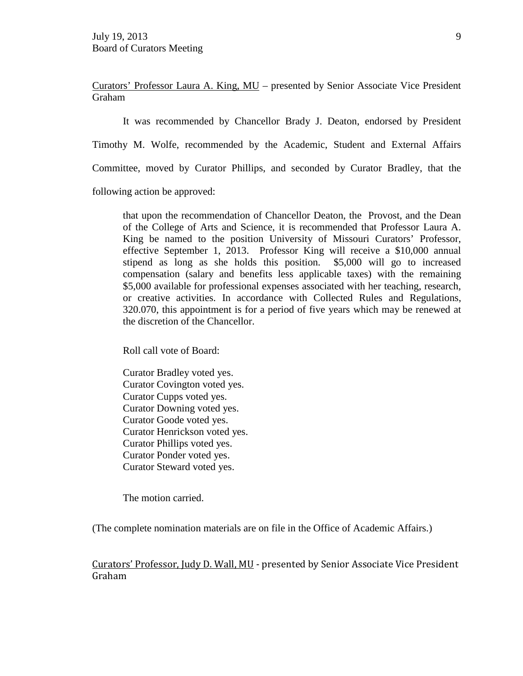Curators' Professor Laura A. King, MU – presented by Senior Associate Vice President Graham

It was recommended by Chancellor Brady J. Deaton, endorsed by President

Timothy M. Wolfe, recommended by the Academic, Student and External Affairs

Committee, moved by Curator Phillips, and seconded by Curator Bradley, that the

following action be approved:

that upon the recommendation of Chancellor Deaton, the Provost, and the Dean of the College of Arts and Science, it is recommended that Professor Laura A. King be named to the position University of Missouri Curators' Professor, effective September 1, 2013. Professor King will receive a \$10,000 annual stipend as long as she holds this position. \$5,000 will go to increased compensation (salary and benefits less applicable taxes) with the remaining \$5,000 available for professional expenses associated with her teaching, research, or creative activities. In accordance with Collected Rules and Regulations, 320.070, this appointment is for a period of five years which may be renewed at the discretion of the Chancellor.

Roll call vote of Board:

Curator Bradley voted yes. Curator Covington voted yes. Curator Cupps voted yes. Curator Downing voted yes. Curator Goode voted yes. Curator Henrickson voted yes. Curator Phillips voted yes. Curator Ponder voted yes. Curator Steward voted yes.

The motion carried.

(The complete nomination materials are on file in the Office of Academic Affairs.)

Curators' Professor, Judy D. Wall, MU - presented by Senior Associate Vice President Graham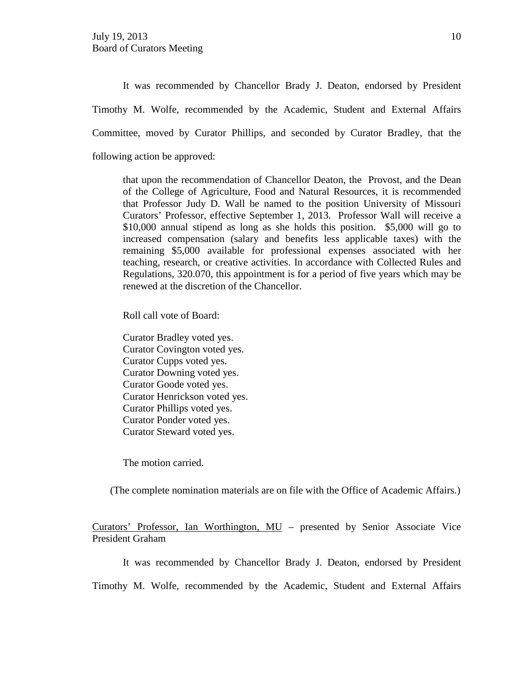It was recommended by Chancellor Brady J. Deaton, endorsed by President Timothy M. Wolfe, recommended by the Academic, Student and External Affairs Committee, moved by Curator Phillips, and seconded by Curator Bradley, that the following action be approved:

that upon the recommendation of Chancellor Deaton, the Provost, and the Dean of the College of Agriculture, Food and Natural Resources, it is recommended that Professor Judy D. Wall be named to the position University of Missouri Curators' Professor, effective September 1, 2013. Professor Wall will receive a \$10,000 annual stipend as long as she holds this position. \$5,000 will go to increased compensation (salary and benefits less applicable taxes) with the remaining \$5,000 available for professional expenses associated with her teaching, research, or creative activities. In accordance with Collected Rules and Regulations, 320.070, this appointment is for a period of five years which may be renewed at the discretion of the Chancellor.

Roll call vote of Board:

Curator Bradley voted yes. Curator Covington voted yes. Curator Cupps voted yes. Curator Downing voted yes. Curator Goode voted yes. Curator Henrickson voted yes. Curator Phillips voted yes. Curator Ponder voted yes. Curator Steward voted yes.

The motion carried.

(The complete nomination materials are on file with the Office of Academic Affairs.)

Curators' Professor, Ian Worthington, MU – presented by Senior Associate Vice President Graham

It was recommended by Chancellor Brady J. Deaton, endorsed by President

Timothy M. Wolfe, recommended by the Academic, Student and External Affairs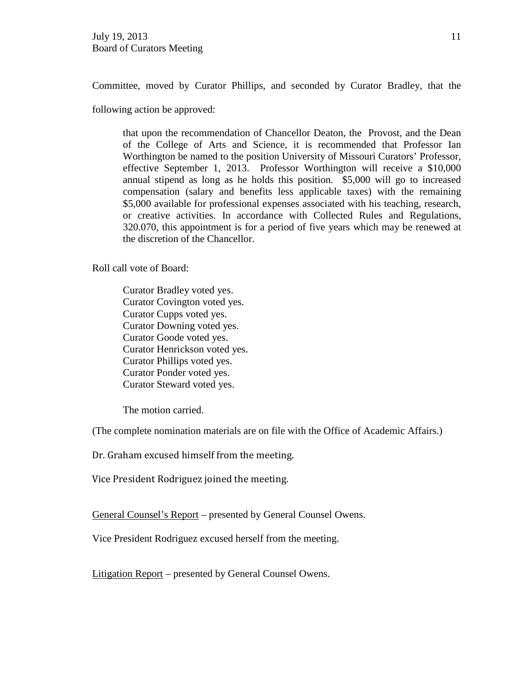Committee, moved by Curator Phillips, and seconded by Curator Bradley, that the

following action be approved:

that upon the recommendation of Chancellor Deaton, the Provost, and the Dean of the College of Arts and Science, it is recommended that Professor Ian Worthington be named to the position University of Missouri Curators' Professor, effective September 1, 2013. Professor Worthington will receive a \$10,000 annual stipend as long as he holds this position. \$5,000 will go to increased compensation (salary and benefits less applicable taxes) with the remaining \$5,000 available for professional expenses associated with his teaching, research, or creative activities. In accordance with Collected Rules and Regulations, 320.070, this appointment is for a period of five years which may be renewed at the discretion of the Chancellor.

Roll call vote of Board:

Curator Bradley voted yes. Curator Covington voted yes. Curator Cupps voted yes. Curator Downing voted yes. Curator Goode voted yes. Curator Henrickson voted yes. Curator Phillips voted yes. Curator Ponder voted yes. Curator Steward voted yes.

The motion carried.

(The complete nomination materials are on file with the Office of Academic Affairs.)

Dr. Graham excused himself from the meeting.

Vice President Rodriguez joined the meeting.

General Counsel's Report – presented by General Counsel Owens.

Vice President Rodriguez excused herself from the meeting.

Litigation Report – presented by General Counsel Owens.